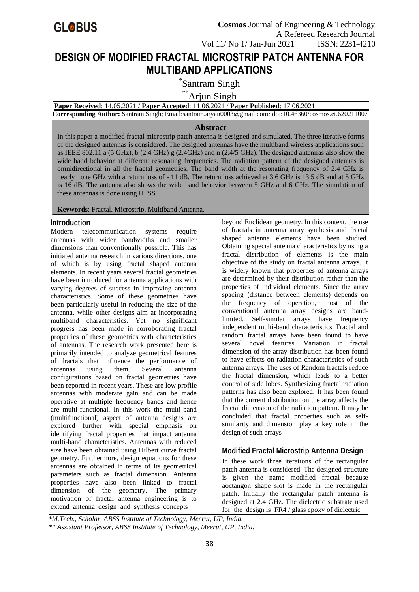

# **DESIGN OF MODIFIED FRACTAL MICROSTRIP PATCH ANTENNA FOR MULTIBAND APPLICATIONS**

\* Santram Singh

\*\*Arjun Singh

**Paper Received**: 14.05.2021 / **Paper Accepted**: 11.06.2021 / **Paper Published**: 17.06.2021

**Corresponding Author:** Santram Singh; Email:santram.aryan0003@gmail.com*;* doi:10.46360/cosmos.et.620211007

#### **Abstract**

In this paper a modified fractal microstrip patch antenna is designed and simulated. The three iterative forms of the designed antennas is considered. The designed antennas have the multiband wireless applications such as IEEE 802.11 a (5 GHz), b (2.4 GHz) g (2.4GHz) and n (2.4/5 GHz). The designed antennas also show the wide band behavior at different resonating frequencies. The radiation pattern of the designed antennas is omnidirectional in all the fractal geometries. The band width at the resonating frequency of 2.4 GHz is nearly one GHz with a return loss of - 11 dB. The return loss achieved at 3.6 GHz is 13.5 dB and at 5 GHz is 16 dB. The antenna also shows the wide band behavior between 5 GHz and 6 GHz. The simulation of these antennas is done using HFSS.

**Keywords**: Fractal, Microstrip, Multiband Antenna.

#### **Introduction**

Modern telecommunication systems require antennas with wider bandwidths and smaller dimensions than conventionally possible. This has initiated antenna research in various directions, one of which is by using fractal shaped antenna elements. In recent years several fractal geometries have been introduced for antenna applications with varying degrees of success in improving antenna characteristics. Some of these geometries have been particularly useful in reducing the size of the antenna, while other designs aim at incorporating multiband characteristics. Yet no significant progress has been made in corroborating fractal properties of these geometries with characteristics of antennas. The research work presented here is primarily intended to analyze geometrical features of fractals that influence the performance of antennas using them. Several antenna configurations based on fractal geometries have been reported in recent years. These are low profile antennas with moderate gain and can be made operative at multiple frequency bands and hence are multi-functional. In this work the multi-band (multifunctional) aspect of antenna designs are explored further with special emphasis on identifying fractal properties that impact antenna multi-band characteristics. Antennas with reduced size have been obtained using Hilbert curve fractal geometry. Furthermore, design equations for these antennas are obtained in terms of its geometrical parameters such as fractal dimension. Antenna properties have also been linked to fractal dimension of the geometry. The primary motivation of fractal antenna engineering is to extend antenna design and synthesis concepts

beyond Euclidean geometry. In this context, the use of fractals in antenna array synthesis and fractal shaped antenna elements have been studied. Obtaining special antenna characteristics by using a fractal distribution of elements is the main objective of the study on fractal antenna arrays. It is widely known that properties of antenna arrays are determined by their distribution rather than the properties of individual elements. Since the array spacing (distance between elements) depends on the frequency of operation, most of the conventional antenna array designs are bandlimited. Self-similar arrays have frequency independent multi-band characteristics. Fractal and random fractal arrays have been found to have several novel features. Variation in fractal dimension of the array distribution has been found to have effects on radiation characteristics of such antenna arrays. The uses of Random fractals reduce the fractal dimension, which leads to a better control of side lobes. Synthesizing fractal radiation patterns has also been explored. It has been found that the current distribution on the array affects the fractal dimension of the radiation pattern. It may be concluded that fractal properties such as selfsimilarity and dimension play a key role in the design of such arrays

# **Modified Fractal Microstrip Antenna Design**

In these work three iterations of the rectangular patch antenna is considered. The designed structure is given the name modified fractal because aoctangon shape slot is made in the rectangular patch. Initially the rectangular patch antenna is designed at 2.4 GHz. The dielectric substrate used for the design is FR4 / glass epoxy of dielectric

*\*M.Tech., Scholar, ABSS Institute of Technology, Meerut, UP, India. \*\* Assistant Professor, ABSS Institute of Technology, Meerut, UP, India.*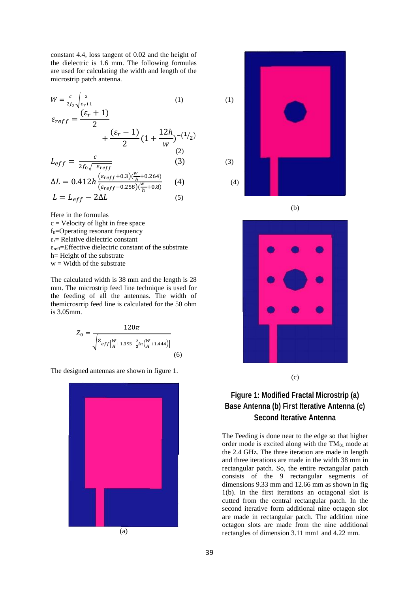constant 4.4, loss tangent of 0.02 and the height of the dielectric is 1.6 mm. The following formulas are used for calculating the width and length of the microstrip patch antenna.

$$
W = \frac{c}{2f_0} \sqrt{\frac{2}{\varepsilon_r + 1}}
$$
 (1) (1)

$$
\varepsilon_{reff} = \frac{\varepsilon_{reff}}{2} + \frac{(\varepsilon_r - 1)}{2} (1 + \frac{12h}{w})^{-(1/2)}
$$

$$
L_{eff} = \frac{c}{2f_0 \sqrt{\varepsilon_{reff}}} \tag{3}
$$

$$
\Delta L = 0.412h \frac{(\varepsilon_{reff} + 0.3)(\frac{w}{h} + 0.264)}{(\varepsilon_{reff} - 0.258)(\frac{w}{h} + 0.8)}
$$
(4)  

$$
L = L_{eff} - 2\Delta L
$$
(5)

Here in the formulas  $c =$  Velocity of light in free space  $f_0$ =Operating resonant frequency  $\varepsilon_r$ = Relative dielectric constant  $\varepsilon_{\text{reff}}$ =Effective dielectric constant of the substrate h= Height of the substrate  $w =$  Width of the substrate

The calculated width is 38 mm and the length is 28 mm. The microstrip feed line technique is used for the feeding of all the antennas. The width of themicrosrrip feed line is calculated for the 50 ohm is 3.05mm.

$$
Z_0 = \frac{120\pi}{\sqrt{\frac{\varepsilon_{eff} \left[\frac{W}{H} + 1.393 + \frac{2}{3}ln\left(\frac{W}{H} + 1.444\right)\right]}{(6)}}}
$$
(6)

The designed antennas are shown in figure 1.





(b)



(c)

# **Figure 1: Modified Fractal Microstrip (a) Base Antenna (b) First Iterative Antenna (c) Second Iterative Antenna**

The Feeding is done near to the edge so that higher order mode is excited along with the  $TM_{01}$  mode at the 2.4 GHz. The three iteration are made in length and three iterations are made in the width 38 mm in rectangular patch. So, the entire rectangular patch consists of the 9 rectangular segments of dimensions 9.33 mm and 12.66 mm as shown in fig 1(b). In the first iterations an octagonal slot is cutted from the central rectangular patch. In the second iterative form additional nine octagon slot are made in rectangular patch. The addition nine octagon slots are made from the nine additional rectangles of dimension 3.11 mm1 and 4.22 mm.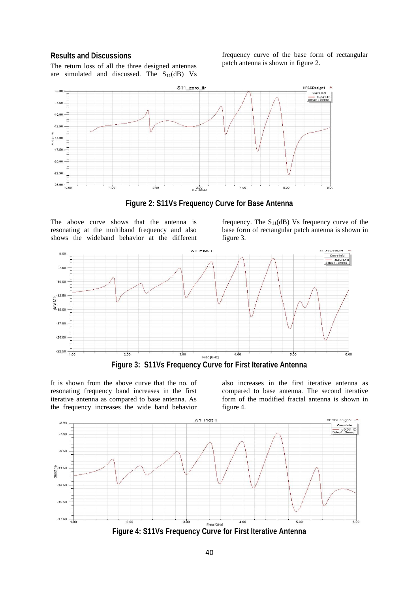#### **Results and Discussions**

The return loss of all the three designed antennas are simulated and discussed. The  $S_{11}(dB)$  Vs frequency curve of the base form of rectangular patch antenna is shown in figure 2.



**Figure 2: S11Vs Frequency Curve for Base Antenna**

The above curve shows that the antenna is resonating at the multiband frequency and also shows the wideband behavior at the different frequency. The  $S_{11}(dB)$  Vs frequency curve of the base form of rectangular patch antenna is shown in figure 3.



**Figure 3: S11Vs Frequency Curve for First Iterative Antenna**

It is shown from the above curve that the no. of resonating frequency band increases in the first iterative antenna as compared to base antenna. As the frequency increases the wide band behavior

also increases in the first iterative antenna as compared to base antenna. The second iterative form of the modified fractal antenna is shown in figure 4.